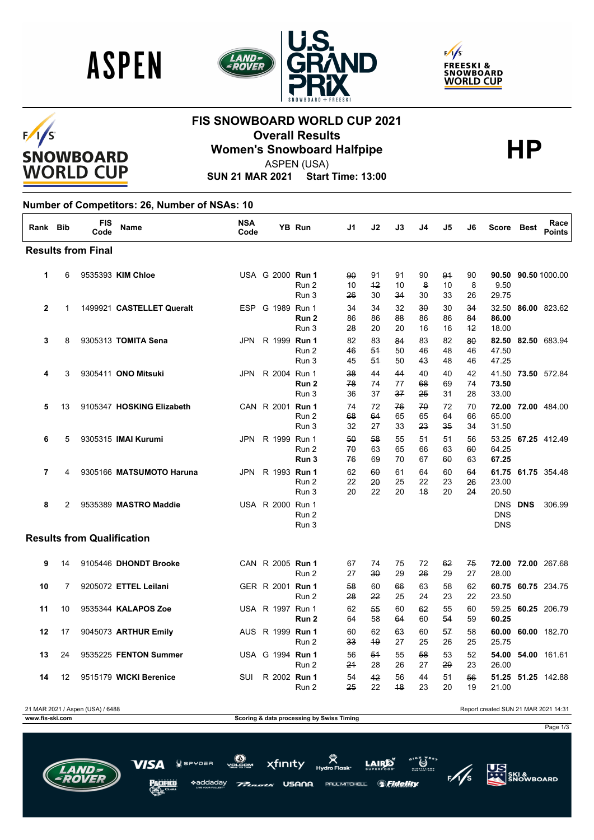





### $F/I/S$ **SNOWBOARD WORLD CUP**

## **FIS SNOWBOARD WORLD CUP 2021 Overall Results<br>Women's Snowboard Halfpipe**<br>ASPEN (USA)



ASPEN (USA)

**SUN 21 MAR 2021 Start Time: 13:00**

#### **Number of Competitors: 26, Number of NSAs: 10**

| Rank Bib |    | <b>FIS</b><br>Code                | Name                       | <b>NSA</b><br>Code |                     | <b>YB Run</b>             | J1             | J2             | J3             | J4             | J5             | J6               | Score                                  | <b>Best</b> | Race<br><b>Points</b> |
|----------|----|-----------------------------------|----------------------------|--------------------|---------------------|---------------------------|----------------|----------------|----------------|----------------|----------------|------------------|----------------------------------------|-------------|-----------------------|
|          |    | <b>Results from Final</b>         |                            |                    |                     |                           |                |                |                |                |                |                  |                                        |             |                       |
| 1        | 6  |                                   | 9535393 KIM Chloe          |                    | USA G 2000 Run 1    | Run 2<br>Run 3            | 90<br>10<br>26 | 91<br>42<br>30 | 91<br>10<br>34 | 90<br>8<br>30  | 91<br>10<br>33 | 90<br>8<br>26    | 90.50<br>9.50<br>29.75                 |             | 90.50 1000.00         |
| 2        | 1  |                                   | 1499921 CASTELLET Queralt  |                    | ESP G 1989 Run 1    | Run 2<br>Run 3            | 34<br>86<br>28 | 34<br>86<br>20 | 32<br>88<br>20 | 30<br>86<br>16 | 30<br>86<br>16 | 34<br>84<br>$+2$ | 32.50<br>86.00<br>18.00                |             | 86.00 823.62          |
| 3        | 8  |                                   | 9305313 TOMITA Sena        |                    | JPN R 1999 Run 1    | Run 2<br>Run 3            | 82<br>46<br>45 | 83<br>54<br>54 | 84<br>50<br>50 | 83<br>46<br>43 | 82<br>48<br>48 | 80<br>46<br>46   | 82.50<br>47.50<br>47.25                |             | 82.50 683.94          |
| 4        | 3  |                                   | 9305411 ONO Mitsuki        | JPN                | R 2004 Run 1        | Run <sub>2</sub><br>Run 3 | 38<br>78<br>36 | 44<br>74<br>37 | 44<br>77<br>37 | 40<br>68<br>25 | 40<br>69<br>31 | 42<br>74<br>28   | 41.50<br>73.50<br>33.00                |             | 73.50 572.84          |
| 5        | 13 |                                   | 9105347 HOSKING Elizabeth  |                    | CAN R 2001 Run 1    | Run 2<br>Run 3            | 74<br>68<br>32 | 72<br>64<br>27 | 76<br>65<br>33 | 70<br>65<br>23 | 72<br>64<br>35 | 70<br>66<br>34   | 72.00<br>65.00<br>31.50                |             | 72.00 484.00          |
| 6        | 5  |                                   | 9305315 <b>IMAI Kurumi</b> |                    | JPN R 1999 Run 1    | Run 2<br>Run 3            | 50<br>70<br>76 | 58<br>63<br>69 | 55<br>65<br>70 | 51<br>66<br>67 | 51<br>63<br>60 | 56<br>60<br>63   | 53.25<br>64.25<br>67.25                |             | 67.25 412.49          |
| 7        | 4  |                                   | 9305166 MATSUMOTO Haruna   | JPN                | R 1993 <b>Run 1</b> | Run 2<br>Run 3            | 62<br>22<br>20 | 60<br>20<br>22 | 61<br>25<br>20 | 64<br>22<br>48 | 60<br>23<br>20 | 64<br>26<br>24   | 23.00<br>20.50                         |             | 61.75 61.75 354.48    |
| 8        | 2  |                                   | 9535389 MASTRO Maddie      |                    | USA R 2000 Run 1    | Run 2<br>Run 3            |                |                |                |                |                |                  | <b>DNS</b><br><b>DNS</b><br><b>DNS</b> | <b>DNS</b>  | 306.99                |
|          |    | <b>Results from Qualification</b> |                            |                    |                     |                           |                |                |                |                |                |                  |                                        |             |                       |
| 9        | 14 |                                   | 9105446 DHONDT Brooke      |                    | CAN R 2005 Run 1    | Run 2                     | 67<br>27       | 74<br>30       | 75<br>29       | 72<br>26       | 62<br>29       | 75<br>27         | 72.00<br>28.00                         |             | 72.00 267.68          |
| 10       | 7  |                                   | 9205072 ETTEL Leilani      |                    | GER R 2001 Run 1    | Run 2                     | 58<br>28       | 60<br>22       | 66<br>25       | 63<br>24       | 58<br>23       | 62<br>22         | 60.75<br>23.50                         |             | 60.75 234.75          |
| 11       | 10 |                                   | 9535344 KALAPOS Zoe        |                    | USA R 1997 Run 1    | Run 2                     | 62<br>64       | 55<br>58       | 60<br>64       | 62<br>60       | 55<br>54       | 60<br>59         | 59.25<br>60.25                         |             | 60.25 206.79          |
| 12       | 17 |                                   | 9045073 ARTHUR Emily       |                    | AUS R 1999 Run 1    | Run 2                     | 60<br>33       | 62<br>49       | 63<br>27       | 60<br>25       | 57<br>26       | 58<br>25         | 60.00<br>25.75                         |             | 60.00 182.70          |
| 13       | 24 |                                   | 9535225 FENTON Summer      |                    | USA G 1994 Run 1    | Run 2                     | 56<br>21       | 54<br>28       | 55<br>26       | 58<br>27       | 53<br>29       | 52<br>23         | 54.00<br>26.00                         |             | 54.00 161.61          |
| 14       | 12 |                                   | 9515179 WICKI Berenice     | SUI                | R 2002 Run 1        | Run 2                     | 54<br>25       | 42<br>22       | 56<br>48       | 44<br>23       | 51<br>20       | 56<br>19         | 21.00                                  |             | 51.25 51.25 142.88    |

**WWW.fis-ski.com Scoring & data processing by Swiss Timing** 

21 MAR 2021 / Aspen (USA) / 6488 Report created SUN 21 MAR 2021 14:31

Page 1/3







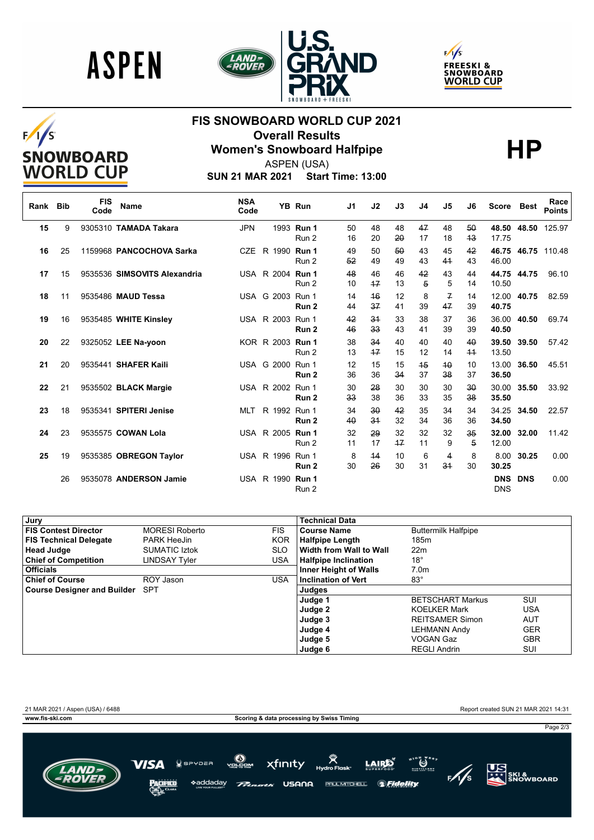





# $F/I/S$ **SNOWBOARD**<br>WORLD CUP

## **FIS SNOWBOARD WORLD CUP 2021 Overall Results<br>Women's Snowboard Halfpipe**<br>ASPEN (USA)

ASPEN (USA)

**SUN 21 MAR 2021 Start Time: 13:00**

| Rank | <b>Bib</b> | <b>FIS</b><br>Code | <b>Name</b>                  | <b>NSA</b><br>Code |                  | <b>YB Run</b>       | J <sub>1</sub> | J2         | J3         | J4       | J5                  | J6                   | <b>Score</b>             | Best        | Race<br><b>Points</b> |
|------|------------|--------------------|------------------------------|--------------------|------------------|---------------------|----------------|------------|------------|----------|---------------------|----------------------|--------------------------|-------------|-----------------------|
| 15   | 9          |                    | 9305310 TAMADA Takara        | <b>JPN</b>         |                  | 1993 Run 1<br>Run 2 | 50<br>16       | 48<br>20   | 48<br>20   | 47<br>17 | 48<br>18            | 50<br>43             | 48.50<br>17.75           | 48.50       | 125.97                |
| 16   | 25         |                    | 1159968 PANCOCHOVA Sarka     | <b>CZE</b>         | R 1990 Run 1     | Run 2               | 49<br>52       | 50<br>49   | 50<br>49   | 43<br>43 | 45<br>41            | 42<br>43             | 46.75<br>46.00           |             | 46.75 110.48          |
| 17   | 15         |                    | 9535536 SIMSOVITS Alexandria |                    | USA R 2004 Run 1 | Run 2               | 48<br>10       | 46<br>47   | 46<br>13   | 42<br>5  | 43<br>5             | 44<br>14             | 10.50                    | 44.75 44.75 | 96.10                 |
| 18   | 11         |                    | 9535486 MAUD Tessa           |                    | USA G 2003 Run 1 | Run <sub>2</sub>    | 14<br>44       | 46<br>37   | 12<br>41   | 8<br>39  | $\mathcal{F}$<br>47 | 14<br>39             | 12.00<br>40.75           | 40.75       | 82.59                 |
| 19   | 16         |                    | 9535485 WHITE Kinsley        |                    | USA R 2003 Run 1 | Run <sub>2</sub>    | 42<br>46       | 34<br>33   | 33<br>43   | 38<br>41 | 37<br>39            | 36<br>39             | 36.00<br>40.50           | 40.50       | 69.74                 |
| 20   | 22         |                    | 9325052 LEE Na-yoon          |                    | KOR R 2003 Run 1 | Run 2               | 38<br>13       | 34<br>$+7$ | 40<br>15   | 40<br>12 | 40<br>14            | 40<br>44             | 39.50<br>13.50           | 39.50       | 57.42                 |
| 21   | 20         |                    | 9535441 SHAFER Kaili         |                    | USA G 2000 Run 1 | Run <sub>2</sub>    | 12<br>36       | 15<br>36   | 15<br>34   | 45<br>37 | 40<br>38            | 10<br>37             | 13.00<br>36.50           | 36.50       | 45.51                 |
| 22   | 21         |                    | 9535502 BLACK Margie         |                    | USA R 2002 Run 1 | Run <sub>2</sub>    | 30<br>33       | 28<br>38   | 30<br>36   | 30<br>33 | 30<br>35            | 30<br>38             | 30.00<br>35.50           | 35.50       | 33.92                 |
| 23   | 18         |                    | 9535341 SPITERI Jenise       | <b>MLT</b>         | R 1992 Run 1     | Run <sub>2</sub>    | 34<br>40       | 30<br>34   | 42<br>32   | 35<br>34 | 34<br>36            | 34<br>36             | 34.25<br>34.50           | 34.50       | 22.57                 |
| 24   | 23         |                    | 9535575 COWAN Lola           |                    | USA R 2005 Run 1 | Run 2               | 32<br>11       | 29<br>17   | 32<br>$+7$ | 32<br>11 | 32<br>9             | 35<br>$\overline{5}$ | 32.00<br>12.00           | 32.00       | 11.42                 |
| 25   | 19         |                    | 9535385 OBREGON Taylor       |                    | USA R 1996 Run 1 | Run <sub>2</sub>    | 8<br>30        | 44<br>26   | 10<br>30   | 6<br>31  | 4<br>34             | 8<br>30              | 8.00<br>30.25            | 30.25       | 0.00                  |
|      | 26         |                    | 9535078 ANDERSON Jamie       |                    | USA R 1990 Run 1 | Run 2               |                |            |            |          |                     |                      | <b>DNS</b><br><b>DNS</b> | <b>DNS</b>  | 0.00                  |

| Jury                            |                       |            | <b>Technical Data</b>        |                            |            |
|---------------------------------|-----------------------|------------|------------------------------|----------------------------|------------|
| <b>FIS Contest Director</b>     | <b>MORESI Roberto</b> | <b>FIS</b> | <b>Course Name</b>           | <b>Buttermilk Halfpipe</b> |            |
| <b>FIS Technical Delegate</b>   | <b>PARK HeeJin</b>    | <b>KOR</b> | <b>Halfpipe Length</b>       | 185m                       |            |
| <b>Head Judge</b>               | <b>SUMATIC Iztok</b>  | <b>SLO</b> | Width from Wall to Wall      | 22 <sub>m</sub>            |            |
| <b>Chief of Competition</b>     | LINDSAY Tvler         | <b>USA</b> | Halfpipe Inclination         | $18^{\circ}$               |            |
| <b>Officials</b>                |                       |            | <b>Inner Height of Walls</b> | 7.0 <sub>m</sub>           |            |
| <b>Chief of Course</b>          | ROY Jason             | <b>USA</b> | <b>Inclination of Vert</b>   | $83^\circ$                 |            |
| Course Designer and Builder SPT |                       |            | Judges                       |                            |            |
|                                 |                       |            | Judge 1                      | <b>BETSCHART Markus</b>    | SUI        |
|                                 |                       |            | Judge 2                      | <b>KOELKER Mark</b>        | USA        |
|                                 |                       |            | Judge 3                      | <b>REITSAMER Simon</b>     | <b>AUT</b> |
|                                 |                       |            | Judge 4                      | <b>LEHMANN Andy</b>        | <b>GER</b> |
|                                 |                       |            | Judge 5                      | <b>VOGAN Gaz</b>           | <b>GBR</b> |
|                                 |                       |            | Judae 6                      | <b>REGLI Andrin</b>        | SUI        |